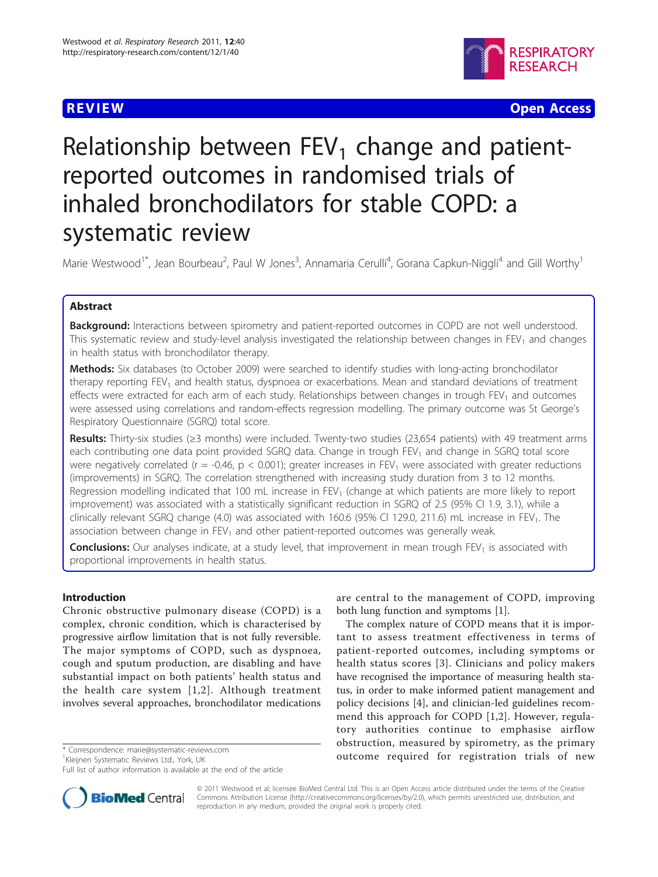

**REVIEW CONTROL** CONTROL CONTROL CONTROL CONTROL CONTROL CONTROL CONTROL CONTROL CONTROL CONTROL CONTROL CONTROL CONTROL CONTROL CONTROL CONTROL CONTROL CONTROL CONTROL CONTROL CONTROL CONTROL CONTROL CONTROL CONTROL CONTR

# Relationship between  $FEV<sub>1</sub>$  change and patientreported outcomes in randomised trials of inhaled bronchodilators for stable COPD: a systematic review

Marie Westwood<sup>1\*</sup>, Jean Bourbeau<sup>2</sup>, Paul W Jones<sup>3</sup>, Annamaria Cerulli<sup>4</sup>, Gorana Capkun-Niggli<sup>4</sup> and Gill Worthy<sup>1</sup>

# Abstract

**Background:** Interactions between spirometry and patient-reported outcomes in COPD are not well understood. This systematic review and study-level analysis investigated the relationship between changes in FEV<sub>1</sub> and changes in health status with bronchodilator therapy.

Methods: Six databases (to October 2009) were searched to identify studies with long-acting bronchodilator therapy reporting FEV<sub>1</sub> and health status, dyspnoea or exacerbations. Mean and standard deviations of treatment effects were extracted for each arm of each study. Relationships between changes in trough  $FEV<sub>1</sub>$  and outcomes were assessed using correlations and random-effects regression modelling. The primary outcome was St George's Respiratory Questionnaire (SGRQ) total score.

Results: Thirty-six studies (≥3 months) were included. Twenty-two studies (23,654 patients) with 49 treatment arms each contributing one data point provided SGRQ data. Change in trough FEV<sub>1</sub> and change in SGRQ total score were negatively correlated ( $r = -0.46$ ,  $p < 0.001$ ); greater increases in  $FEV<sub>1</sub>$  were associated with greater reductions (improvements) in SGRQ. The correlation strengthened with increasing study duration from 3 to 12 months. Regression modelling indicated that 100 mL increase in  $FEV<sub>1</sub>$  (change at which patients are more likely to report improvement) was associated with a statistically significant reduction in SGRQ of 2.5 (95% CI 1.9, 3.1), while a clinically relevant SGRQ change (4.0) was associated with 160.6 (95% CI 129.0, 211.6) mL increase in FEV1. The association between change in  $FEV<sub>1</sub>$  and other patient-reported outcomes was generally weak.

**Conclusions:** Our analyses indicate, at a study level, that improvement in mean trough FEV<sub>1</sub> is associated with proportional improvements in health status.

# Introduction

Chronic obstructive pulmonary disease (COPD) is a complex, chronic condition, which is characterised by progressive airflow limitation that is not fully reversible. The major symptoms of COPD, such as dyspnoea, cough and sputum production, are disabling and have substantial impact on both patients' health status and the health care system [[1](#page-7-0),[2](#page-7-0)]. Although treatment involves several approaches, bronchodilator medications

1 Kleijnen Systematic Reviews Ltd., York, UK

are central to the management of COPD, improving both lung function and symptoms [\[1](#page-7-0)].

The complex nature of COPD means that it is important to assess treatment effectiveness in terms of patient-reported outcomes, including symptoms or health status scores [[3](#page-7-0)]. Clinicians and policy makers have recognised the importance of measuring health status, in order to make informed patient management and policy decisions [\[4](#page-7-0)], and clinician-led guidelines recommend this approach for COPD [[1,2](#page-7-0)]. However, regulatory authorities continue to emphasise airflow obstruction, measured by spirometry, as the primary \* Correspondence: [marie@systematic-reviews.com](mailto:marie@systematic-reviews.com) **and the contract of the correspondence:** marie@systematic-reviews.com **butcome** required for registration trials of new  $\frac{1}{1}$ 



© 2011 Westwood et al; licensee BioMed Central Ltd. This is an Open Access article distributed under the terms of the Creative Commons Attribution License [\(http://creativecommons.org/licenses/by/2.0](http://creativecommons.org/licenses/by/2.0)), which permits unrestricted use, distribution, and reproduction in any medium, provided the original work is properly cited.

Full list of author information is available at the end of the article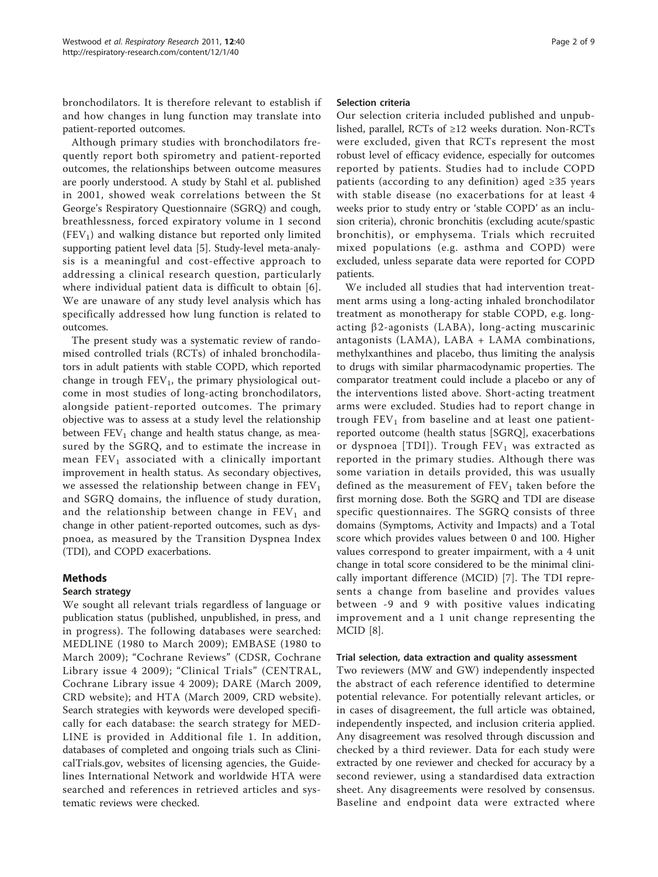bronchodilators. It is therefore relevant to establish if and how changes in lung function may translate into patient-reported outcomes.

Although primary studies with bronchodilators frequently report both spirometry and patient-reported outcomes, the relationships between outcome measures are poorly understood. A study by Stahl et al. published in 2001, showed weak correlations between the St George's Respiratory Questionnaire (SGRQ) and cough, breathlessness, forced expiratory volume in 1 second  $(FEV<sub>1</sub>)$  and walking distance but reported only limited supporting patient level data [[5](#page-7-0)]. Study-level meta-analysis is a meaningful and cost-effective approach to addressing a clinical research question, particularly where individual patient data is difficult to obtain [[6](#page-7-0)]. We are unaware of any study level analysis which has specifically addressed how lung function is related to outcomes.

The present study was a systematic review of randomised controlled trials (RCTs) of inhaled bronchodilators in adult patients with stable COPD, which reported change in trough  $FEV<sub>1</sub>$ , the primary physiological outcome in most studies of long-acting bronchodilators, alongside patient-reported outcomes. The primary objective was to assess at a study level the relationship between  $FEV<sub>1</sub>$  change and health status change, as measured by the SGRQ, and to estimate the increase in mean  $FEV<sub>1</sub>$  associated with a clinically important improvement in health status. As secondary objectives, we assessed the relationship between change in  $FEV<sub>1</sub>$ and SGRQ domains, the influence of study duration, and the relationship between change in  $FEV<sub>1</sub>$  and change in other patient-reported outcomes, such as dyspnoea, as measured by the Transition Dyspnea Index (TDI), and COPD exacerbations.

# Methods

# Search strategy

We sought all relevant trials regardless of language or publication status (published, unpublished, in press, and in progress). The following databases were searched: MEDLINE (1980 to March 2009); EMBASE (1980 to March 2009); "Cochrane Reviews" (CDSR, Cochrane Library issue 4 2009); "Clinical Trials" (CENTRAL, Cochrane Library issue 4 2009); DARE (March 2009, CRD website); and HTA (March 2009, CRD website). Search strategies with keywords were developed specifically for each database: the search strategy for MED-LINE is provided in Additional file [1](#page-7-0). In addition, databases of completed and ongoing trials such as ClinicalTrials.gov, websites of licensing agencies, the Guidelines International Network and worldwide HTA were searched and references in retrieved articles and systematic reviews were checked.

#### Selection criteria

Our selection criteria included published and unpublished, parallel, RCTs of ≥12 weeks duration. Non-RCTs were excluded, given that RCTs represent the most robust level of efficacy evidence, especially for outcomes reported by patients. Studies had to include COPD patients (according to any definition) aged ≥35 years with stable disease (no exacerbations for at least 4 weeks prior to study entry or 'stable COPD' as an inclusion criteria), chronic bronchitis (excluding acute/spastic bronchitis), or emphysema. Trials which recruited mixed populations (e.g. asthma and COPD) were excluded, unless separate data were reported for COPD patients.

We included all studies that had intervention treatment arms using a long-acting inhaled bronchodilator treatment as monotherapy for stable COPD, e.g. longacting  $\beta$ 2-agonists (LABA), long-acting muscarinic antagonists (LAMA), LABA + LAMA combinations, methylxanthines and placebo, thus limiting the analysis to drugs with similar pharmacodynamic properties. The comparator treatment could include a placebo or any of the interventions listed above. Short-acting treatment arms were excluded. Studies had to report change in trough  $FEV_1$  from baseline and at least one patientreported outcome (health status [SGRQ], exacerbations or dyspnoea [TDI]). Trough  $FEV<sub>1</sub>$  was extracted as reported in the primary studies. Although there was some variation in details provided, this was usually defined as the measurement of  $FEV<sub>1</sub>$  taken before the first morning dose. Both the SGRQ and TDI are disease specific questionnaires. The SGRQ consists of three domains (Symptoms, Activity and Impacts) and a Total score which provides values between 0 and 100. Higher values correspond to greater impairment, with a 4 unit change in total score considered to be the minimal clinically important difference (MCID) [[7\]](#page-7-0). The TDI represents a change from baseline and provides values between -9 and 9 with positive values indicating improvement and a 1 unit change representing the MCID [\[8](#page-7-0)].

#### Trial selection, data extraction and quality assessment

Two reviewers (MW and GW) independently inspected the abstract of each reference identified to determine potential relevance. For potentially relevant articles, or in cases of disagreement, the full article was obtained, independently inspected, and inclusion criteria applied. Any disagreement was resolved through discussion and checked by a third reviewer. Data for each study were extracted by one reviewer and checked for accuracy by a second reviewer, using a standardised data extraction sheet. Any disagreements were resolved by consensus. Baseline and endpoint data were extracted where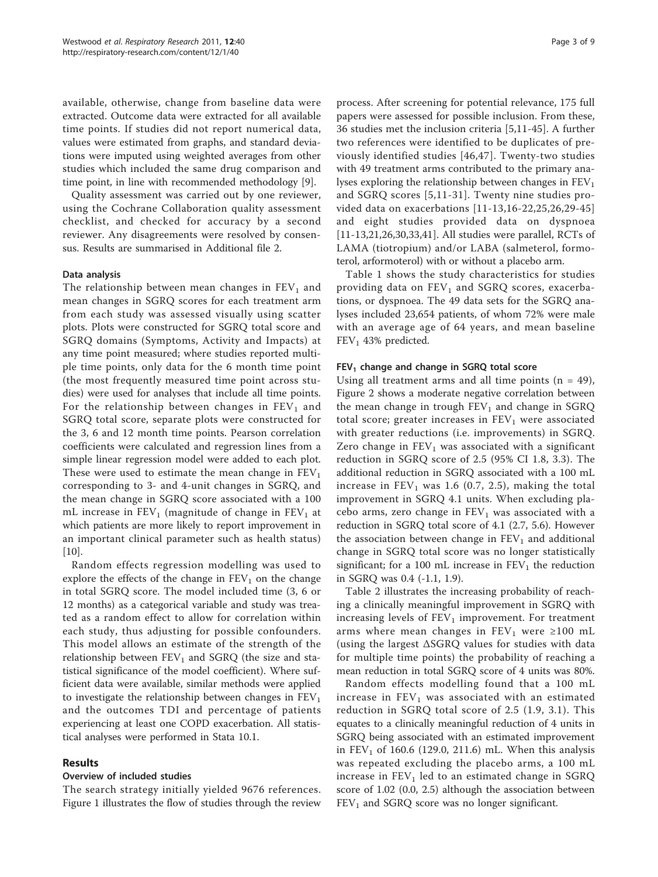available, otherwise, change from baseline data were extracted. Outcome data were extracted for all available time points. If studies did not report numerical data, values were estimated from graphs, and standard deviations were imputed using weighted averages from other studies which included the same drug comparison and time point, in line with recommended methodology [\[9](#page-7-0)].

Quality assessment was carried out by one reviewer, using the Cochrane Collaboration quality assessment checklist, and checked for accuracy by a second reviewer. Any disagreements were resolved by consensus. Results are summarised in Additional file [2.](#page-7-0)

#### Data analysis

The relationship between mean changes in  $FEV<sub>1</sub>$  and mean changes in SGRQ scores for each treatment arm from each study was assessed visually using scatter plots. Plots were constructed for SGRQ total score and SGRQ domains (Symptoms, Activity and Impacts) at any time point measured; where studies reported multiple time points, only data for the 6 month time point (the most frequently measured time point across studies) were used for analyses that include all time points. For the relationship between changes in  $FEV<sub>1</sub>$  and SGRQ total score, separate plots were constructed for the 3, 6 and 12 month time points. Pearson correlation coefficients were calculated and regression lines from a simple linear regression model were added to each plot. These were used to estimate the mean change in  $FEV<sub>1</sub>$ corresponding to 3- and 4-unit changes in SGRQ, and the mean change in SGRQ score associated with a 100 mL increase in  $FEV_1$  (magnitude of change in  $FEV_1$  at which patients are more likely to report improvement in an important clinical parameter such as health status)  $[10]$  $[10]$ .

Random effects regression modelling was used to explore the effects of the change in  $FEV<sub>1</sub>$  on the change in total SGRQ score. The model included time (3, 6 or 12 months) as a categorical variable and study was treated as a random effect to allow for correlation within each study, thus adjusting for possible confounders. This model allows an estimate of the strength of the relationship between  $FEV<sub>1</sub>$  and SGRQ (the size and statistical significance of the model coefficient). Where sufficient data were available, similar methods were applied to investigate the relationship between changes in  $FEV<sub>1</sub>$ and the outcomes TDI and percentage of patients experiencing at least one COPD exacerbation. All statistical analyses were performed in Stata 10.1.

# Results

#### Overview of included studies

The search strategy initially yielded 9676 references. Figure [1](#page-3-0) illustrates the flow of studies through the review

process. After screening for potential relevance, 175 full papers were assessed for possible inclusion. From these, 36 studies met the inclusion criteria [[5,11-](#page-7-0)[45](#page-8-0)]. A further two references were identified to be duplicates of previously identified studies [[46,47\]](#page-8-0). Twenty-two studies with 49 treatment arms contributed to the primary analyses exploring the relationship between changes in  $FEV<sub>1</sub>$ and SGRQ scores [\[5,11-](#page-7-0)[31\]](#page-8-0). Twenty nine studies provided data on exacerbations [[11-](#page-7-0)[13](#page-8-0),[16-22,25,26,29](#page-8-0)-[45](#page-8-0)] and eight studies provided data on dyspnoea [[11-](#page-7-0)[13](#page-8-0),[21,26,30,33,41](#page-8-0)]. All studies were parallel, RCTs of LAMA (tiotropium) and/or LABA (salmeterol, formoterol, arformoterol) with or without a placebo arm.

Table [1](#page-4-0) shows the study characteristics for studies providing data on  $FEV<sub>1</sub>$  and SGRQ scores, exacerbations, or dyspnoea. The 49 data sets for the SGRQ analyses included 23,654 patients, of whom 72% were male with an average age of 64 years, and mean baseline  $FEV<sub>1</sub>$  43% predicted.

# $FEV<sub>1</sub>$  change and change in SGRQ total score

Using all treatment arms and all time points  $(n = 49)$ , Figure [2](#page-5-0) shows a moderate negative correlation between the mean change in trough  $FEV<sub>1</sub>$  and change in SGRQ total score; greater increases in  $FEV<sub>1</sub>$  were associated with greater reductions (i.e. improvements) in SGRQ. Zero change in  $FEV<sub>1</sub>$  was associated with a significant reduction in SGRQ score of 2.5 (95% CI 1.8, 3.3). The additional reduction in SGRQ associated with a 100 mL increase in  $FEV_1$  was 1.6 (0.7, 2.5), making the total improvement in SGRQ 4.1 units. When excluding placebo arms, zero change in  $FEV<sub>1</sub>$  was associated with a reduction in SGRQ total score of 4.1 (2.7, 5.6). However the association between change in  $FEV<sub>1</sub>$  and additional change in SGRQ total score was no longer statistically significant; for a 100 mL increase in  $FEV<sub>1</sub>$  the reduction in SGRQ was 0.4 (-1.1, 1.9).

Table [2](#page-5-0) illustrates the increasing probability of reaching a clinically meaningful improvement in SGRQ with increasing levels of  $FEV<sub>1</sub>$  improvement. For treatment arms where mean changes in  $FEV_1$  were ≥100 mL (using the largest ΔSGRQ values for studies with data for multiple time points) the probability of reaching a mean reduction in total SGRQ score of 4 units was 80%.

Random effects modelling found that a 100 mL increase in  $FEV<sub>1</sub>$  was associated with an estimated reduction in SGRQ total score of 2.5 (1.9, 3.1). This equates to a clinically meaningful reduction of 4 units in SGRQ being associated with an estimated improvement in  $FEV<sub>1</sub>$  of 160.6 (129.0, 211.6) mL. When this analysis was repeated excluding the placebo arms, a 100 mL increase in  $FEV<sub>1</sub>$  led to an estimated change in SGRQ score of 1.02 (0.0, 2.5) although the association between  $FEV<sub>1</sub>$  and SGRQ score was no longer significant.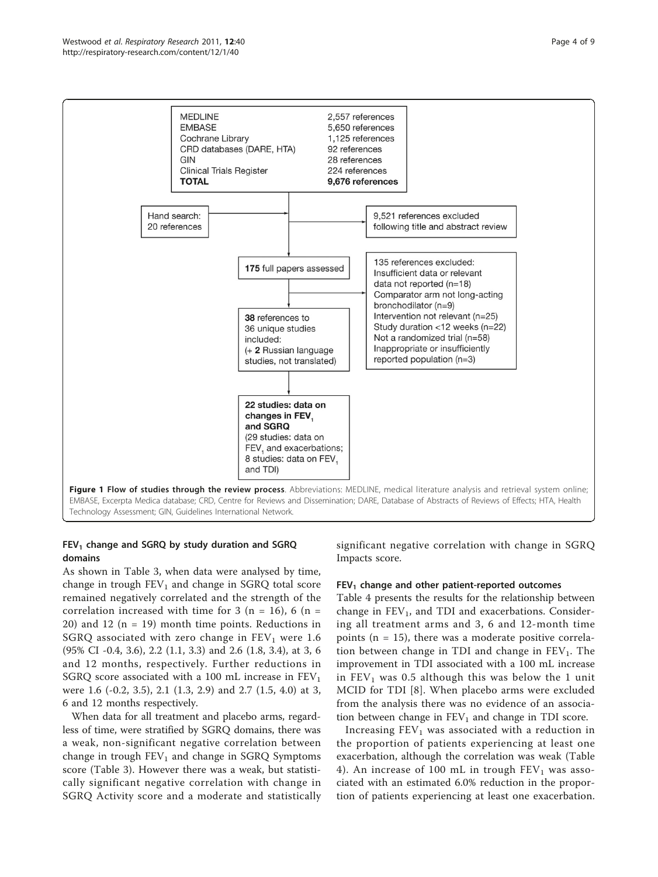<span id="page-3-0"></span>

# $FEV<sub>1</sub>$  change and SGRQ by study duration and SGRQ domains

As shown in Table [3,](#page-5-0) when data were analysed by time, change in trough  $FEV<sub>1</sub>$  and change in SGRQ total score remained negatively correlated and the strength of the correlation increased with time for 3 (n = 16), 6 (n = 20) and 12 ( $n = 19$ ) month time points. Reductions in SGRQ associated with zero change in  $FEV<sub>1</sub>$  were 1.6 (95% CI -0.4, 3.6), 2.2 (1.1, 3.3) and 2.6 (1.8, 3.4), at 3, 6 and 12 months, respectively. Further reductions in SGRQ score associated with a 100 mL increase in  $FEV<sub>1</sub>$ were 1.6 (-0.2, 3.5), 2.1 (1.3, 2.9) and 2.7 (1.5, 4.0) at 3, 6 and 12 months respectively.

When data for all treatment and placebo arms, regardless of time, were stratified by SGRQ domains, there was a weak, non-significant negative correlation between change in trough  $FEV<sub>1</sub>$  and change in SGRQ Symptoms score (Table [3\)](#page-5-0). However there was a weak, but statistically significant negative correlation with change in SGRQ Activity score and a moderate and statistically significant negative correlation with change in SGRQ Impacts score.

# $FEV<sub>1</sub>$  change and other patient-reported outcomes

Table [4](#page-5-0) presents the results for the relationship between change in  $FEV<sub>1</sub>$ , and TDI and exacerbations. Considering all treatment arms and 3, 6 and 12-month time points ( $n = 15$ ), there was a moderate positive correlation between change in TDI and change in  $FEV<sub>1</sub>$ . The improvement in TDI associated with a 100 mL increase in  $FEV<sub>1</sub>$  was 0.5 although this was below the 1 unit MCID for TDI [[8\]](#page-7-0). When placebo arms were excluded from the analysis there was no evidence of an association between change in  $FEV<sub>1</sub>$  and change in TDI score.

Increasing  $FEV<sub>1</sub>$  was associated with a reduction in the proportion of patients experiencing at least one exacerbation, although the correlation was weak (Table [4\)](#page-5-0). An increase of 100 mL in trough  $\text{FEV}_1$  was associated with an estimated 6.0% reduction in the proportion of patients experiencing at least one exacerbation.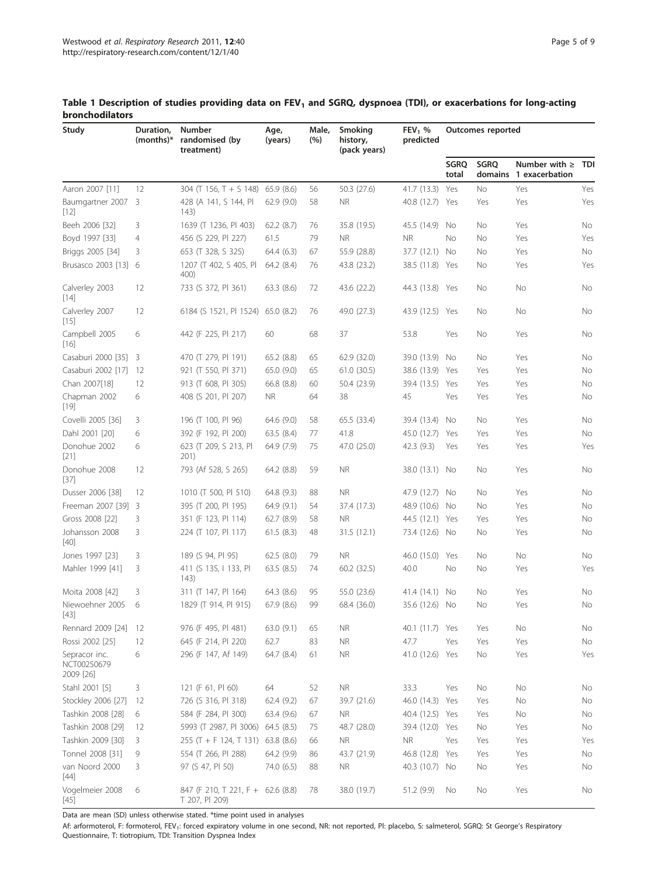| Study                                     | Duration,<br>$(months)*$ | Number<br>randomised (by<br>treatment)              | Age,<br>(years) | Male,<br>(%) | Smoking<br>history,<br>(pack years) | $FEV1$ %<br>predicted | Outcomes reported    |             |                                              |            |
|-------------------------------------------|--------------------------|-----------------------------------------------------|-----------------|--------------|-------------------------------------|-----------------------|----------------------|-------------|----------------------------------------------|------------|
|                                           |                          |                                                     |                 |              |                                     |                       | <b>SGRQ</b><br>total | <b>SGRQ</b> | Number with $\geq$<br>domains 1 exacerbation | <b>TDI</b> |
| Aaron 2007 [11]                           | 12                       | 304 (T 156, T + S 148) 65.9 (8.6)                   |                 | 56           | 50.3 (27.6)                         | 41.7 (13.3) Yes       |                      | No          | Yes                                          | Yes        |
| Baumgartner 2007<br>$[12]$                | 3                        | 428 (A 141, S 144, Pl<br>143)                       | 62.9(9.0)       | 58           | NR.                                 | 40.8 (12.7) Yes       |                      | Yes         | Yes                                          | Yes        |
| Beeh 2006 [32]                            | 3                        | 1639 (T 1236, PI 403)                               | 62.2(8.7)       | 76           | 35.8 (19.5)                         | 45.5 (14.9)           | No                   | No          | Yes                                          | No         |
| Boyd 1997 [33]                            | $\overline{4}$           | 456 (S 229, PI 227)                                 | 61.5            | 79           | NR.                                 | <b>NR</b>             | <b>No</b>            | No          | Yes                                          | Yes        |
| Briggs 2005 [34]                          | 3                        | 653 (T 328, S 325)                                  | 64.4(6.3)       | 67           | 55.9 (28.8)                         | 37.7 (12.1)           | No                   | No          | Yes                                          | No.        |
| Brusasco 2003 [13]                        | 6                        | 1207 (T 402, S 405, PI<br>400)                      | 64.2(8.4)       | 76           | 43.8 (23.2)                         | 38.5 (11.8) Yes       |                      | No          | Yes                                          | Yes        |
| Calverley 2003<br>$[14]$                  | 12                       | 733 (S 372, PI 361)                                 | 63.3(8.6)       | 72           | 43.6 (22.2)                         | 44.3 (13.8) Yes       |                      | No          | No                                           | No         |
| Calverley 2007<br>$[15]$                  | 12                       | 6184 (S 1521, PI 1524)                              | 65.0 (8.2)      | 76           | 49.0 (27.3)                         | 43.9 (12.5) Yes       |                      | No          | No                                           | No         |
| Campbell 2005<br>[16]                     | 6                        | 442 (F 225, PI 217)                                 | 60              | 68           | 37                                  | 53.8                  | Yes                  | No          | Yes                                          | No         |
| Casaburi 2000 [35] 3                      |                          | 470 (T 279, PI 191)                                 | 65.2(8.8)       | 65           | 62.9 (32.0)                         | 39.0 (13.9)           | No                   | No          | Yes                                          | No         |
| Casaburi 2002 [17]                        | -12                      | 921 (T 550, PI 371)                                 | 65.0 (9.0)      | 65           | 61.0 (30.5)                         | 38.6 (13.9) Yes       |                      | Yes         | Yes                                          | No         |
| Chan 2007[18]                             | 12                       | 913 (T 608, PI 305)                                 | 66.8 (8.8)      | 60           | 50.4 (23.9)                         | 39.4 (13.5)           | Yes                  | Yes         | Yes                                          | No         |
| Chapman 2002<br>$[19]$                    | 6                        | 408 (S 201, PI 207)                                 | <b>NR</b>       | 64           | 38                                  | 45                    | Yes                  | Yes         | Yes                                          | No         |
| Covelli 2005 [36]                         | 3                        | 196 (T 100, PI 96)                                  | 64.6 (9.0)      | 58           | 65.5 (33.4)                         | 39.4 (13.4)           | No                   | No          | Yes                                          | No         |
| Dahl 2001 [20]                            | 6                        | 392 (F 192, PI 200)                                 | 63.5(8.4)       | 77           | 41.8                                | 45.0 (12.7) Yes       |                      | Yes         | Yes                                          | No         |
| Donohue 2002<br>$[21]$                    | 6                        | 623 (T 209, S 213, Pl<br>201)                       | 64.9 (7.9)      | 75           | 47.0 (25.0)                         | 42.3 (9.3)            | Yes                  | Yes         | Yes                                          | Yes        |
| Donohue 2008<br>$[37]$                    | 12                       | 793 (Af 528, S 265)                                 | 64.2 (8.8)      | 59           | ΝR                                  | 38.0 (13.1) No        |                      | No          | Yes                                          | No         |
| Dusser 2006 [38]                          | 12                       | 1010 (T 500, PI 510)                                | 64.8 (9.3)      | 88           | NR.                                 | 47.9 (12.7)           | No                   | No          | Yes                                          | No         |
| Freeman 2007 [39] 3                       |                          | 395 (T 200, PI 195)                                 | 64.9 (9.1)      | 54           | 37.4 (17.3)                         | 48.9 (10.6) No        |                      | No          | Yes                                          | <b>No</b>  |
| Gross 2008 [22]                           | 3                        | 351 (F 123, PI 114)                                 | 62.7 (8.9)      | 58           | <b>NR</b>                           | 44.5 (12.1) Yes       |                      | Yes         | Yes                                          | No         |
| Johansson 2008<br>$[40]$                  | 3                        | 224 (T 107, PI 117)                                 | 61.5(8.3)       | 48           | 31.5 (12.1)                         | 73.4 (12.6) No        |                      | No          | Yes                                          | No         |
| Jones 1997 [23]                           | 3                        | 189 (S 94, PI 95)                                   | 62.5(8.0)       | 79           | NR.                                 | 46.0 (15.0)           | Yes                  | No          | No                                           | No         |
| Mahler 1999 [41]                          | 3                        | 411 (S 135, I 133, PI<br>143)                       | 63.5(8.5)       | 74           | 60.2(32.5)                          | 40.0                  | No                   | No          | Yes                                          | Yes        |
| Moita 2008 [42]                           | 3                        | 311 (T 147, PI 164)                                 | 64.3 (8.6)      | 95           | 55.0 (23.6)                         | 41.4 (14.1)           | No                   | No          | Yes                                          | No         |
| Niewoehner 2005<br>$[43]$                 | 6                        | 1829 (T 914, PI 915)                                | 67.9(8.6)       | 99           | 68.4 (36.0)                         | 35.6 (12.6) No        |                      | No          | Yes                                          | No         |
| Rennard 2009 [24]                         | 12                       | 976 (F 495, PI 481)                                 | 63.0 (9.1)      | 65           | ΝR                                  | 40.1 (11.7) Yes       |                      | Yes         | No                                           | No         |
| Rossi 2002 [25]                           | 12                       | 645 (F 214, PI 220)                                 | 62.7            | 83           | <b>NR</b>                           | 47.7                  | Yes                  | Yes         | Yes                                          | No         |
| Sepracor inc.<br>NCT00250679<br>2009 [26] | 6                        | 296 (F 147, Af 149)                                 | 64.7 (8.4)      | 61           | NR.                                 | 41.0 (12.6) Yes       |                      | No          | Yes                                          | Yes        |
| Stahl 2001 [5]                            | 3                        | 121 (F 61, PI 60)                                   | 64              | 52           | NR.                                 | 33.3                  | Yes                  | No          | No                                           | No         |
| Stockley 2006 [27]                        | 12                       | 726 (S 316, PI 318)                                 | 62.4(9.2)       | 67           | 39.7 (21.6)                         | 46.0 (14.3)           | Yes                  | Yes         | No                                           | No         |
| Tashkin 2008 [28]                         | 6                        | 584 (F 284, PI 300)                                 | 63.4 (9.6)      | 67           | NR.                                 | 40.4 (12.5) Yes       |                      | Yes         | No                                           | No         |
| Tashkin 2008 [29]                         | 12                       | 5993 (T 2987, PI 3006)                              | 64.5(8.5)       | 75           | 48.7 (28.0)                         | 39.4 (12.0)           | Yes                  | No          | Yes                                          | No         |
| Tashkin 2009 [30]                         | 3                        | 255 $(T + F 124, T 131)$                            | 63.8 (8.6)      | 66           | NR.                                 | <b>NR</b>             | Yes                  | Yes         | Yes                                          | Yes        |
| Tonnel 2008 [31]                          | 9                        | 554 (T 266, PI 288)                                 | 64.2 (9.9)      | 86           | 43.7 (21.9)                         | 46.8 (12.8)           | Yes                  | Yes         | Yes                                          | No         |
| van Noord 2000<br>$[44]$                  | 3                        | 97 (S 47, PI 50)                                    | 74.0 (6.5)      | 88           | NR.                                 | 40.3 (10.7)           | No                   | No          | Yes                                          | No         |
| Vogelmeier 2008<br>$[45]$                 | 6                        | 847 (F 210, T 221, F + 62.6 (8.8)<br>T 207, PI 209) |                 | 78           | 38.0 (19.7)                         | 51.2 (9.9)            | No                   | No          | Yes                                          | No         |

<span id="page-4-0"></span>Table 1 Description of studies providing data on FEV<sub>1</sub> and SGRQ, dyspnoea (TDI), or exacerbations for long-acting bronchodilators

Data are mean (SD) unless otherwise stated. \*time point used in analyses

Af: arformoterol, F: formoterol, FEV<sub>1</sub>: forced expiratory volume in one second, NR: not reported, Pl: placebo, S: salmeterol, SGRQ: St George's Respiratory Questionnaire, T: tiotropium, TDI: Transition Dyspnea Index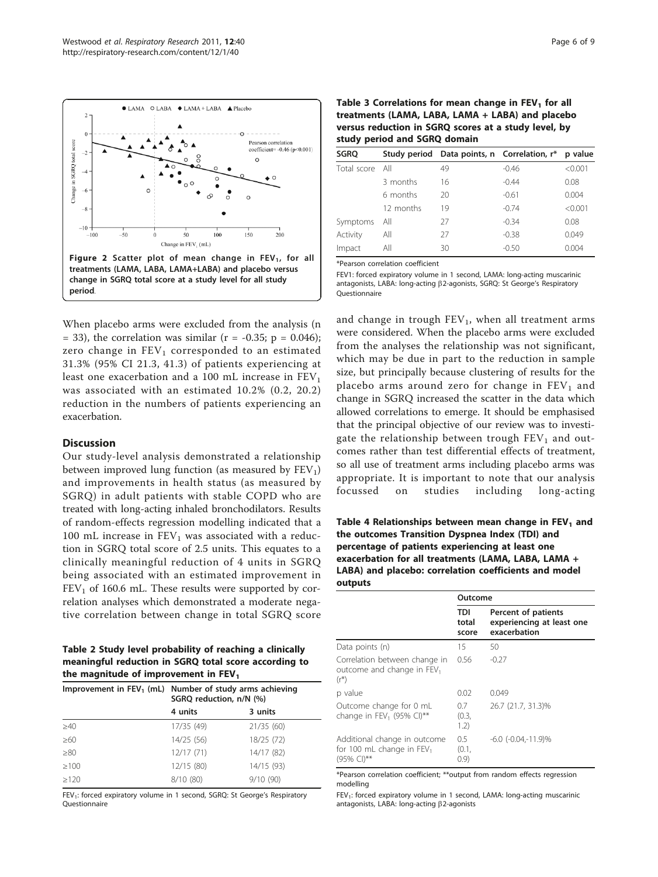<span id="page-5-0"></span>

When placebo arms were excluded from the analysis (n  $=$  33), the correlation was similar (r  $=$  -0.35; p  $=$  0.046); zero change in  $FEV<sub>1</sub>$  corresponded to an estimated 31.3% (95% CI 21.3, 41.3) of patients experiencing at least one exacerbation and a 100 mL increase in  $FEV<sub>1</sub>$ was associated with an estimated 10.2% (0.2, 20.2) reduction in the numbers of patients experiencing an exacerbation.

#### **Discussion**

Our study-level analysis demonstrated a relationship between improved lung function (as measured by  $FEV<sub>1</sub>$ ) and improvements in health status (as measured by SGRQ) in adult patients with stable COPD who are treated with long-acting inhaled bronchodilators. Results of random-effects regression modelling indicated that a 100 mL increase in  $FEV<sub>1</sub>$  was associated with a reduction in SGRQ total score of 2.5 units. This equates to a clinically meaningful reduction of 4 units in SGRQ being associated with an estimated improvement in  $FEV<sub>1</sub>$  of 160.6 mL. These results were supported by correlation analyses which demonstrated a moderate negative correlation between change in total SGRQ score

| Table 2 Study level probability of reaching a clinically |
|----------------------------------------------------------|
| meaningful reduction in SGRO total score according to    |
| the magnitude of improvement in FEV,                     |

|            | Improvement in $FEV_1$ (mL) Number of study arms achieving<br>SGRQ reduction, n/N (%) |            |  |  |
|------------|---------------------------------------------------------------------------------------|------------|--|--|
|            | 4 units                                                                               | 3 units    |  |  |
| $\geq 40$  | 17/35 (49)                                                                            | 21/35(60)  |  |  |
| $\geq 60$  | 14/25 (56)                                                                            | 18/25 (72) |  |  |
| $\geq 80$  | 12/17(71)                                                                             | 14/17 (82) |  |  |
| $\geq 100$ | 12/15 (80)                                                                            | 14/15 (93) |  |  |
| $\geq 120$ | 8/10 (80)                                                                             | 9/10(90)   |  |  |

FEV<sub>1</sub>: forced expiratory volume in 1 second, SGRQ: St George's Respiratory Questionnaire

| Table 3 Correlations for mean change in FEV <sub>1</sub> for all |
|------------------------------------------------------------------|
| treatments (LAMA, LABA, LAMA + LABA) and placebo                 |
| versus reduction in SGRQ scores at a study level, by             |
| study period and SGRQ domain                                     |

| <b>SGRO</b> |           | Study period Data points, n Correlation, r* |         | p value |
|-------------|-----------|---------------------------------------------|---------|---------|
| Total score | - All     | 49                                          | $-0.46$ | < 0.001 |
|             | 3 months  | 16                                          | $-0.44$ | 0.08    |
|             | 6 months  | 20                                          | $-0.61$ | 0.004   |
|             | 12 months | 19                                          | $-0.74$ | < 0.001 |
| Symptoms    | - All     | 27                                          | $-0.34$ | 0.08    |
| Activity    | All       | 27                                          | $-0.38$ | 0.049   |
| Impact      | All       | 30                                          | $-0.50$ | 0.004   |

\*Pearson correlation coefficient

FEV1: forced expiratory volume in 1 second, LAMA: long-acting muscarinic antagonists, LABA: long-acting b2-agonists, SGRQ: St George's Respiratory Questionnaire

and change in trough  $FEV<sub>1</sub>$ , when all treatment arms were considered. When the placebo arms were excluded from the analyses the relationship was not significant, which may be due in part to the reduction in sample size, but principally because clustering of results for the placebo arms around zero for change in  $FEV<sub>1</sub>$  and change in SGRQ increased the scatter in the data which allowed correlations to emerge. It should be emphasised that the principal objective of our review was to investigate the relationship between trough  $FEV<sub>1</sub>$  and outcomes rather than test differential effects of treatment, so all use of treatment arms including placebo arms was appropriate. It is important to note that our analysis focussed on studies including long-acting

Table 4 Relationships between mean change in  $FEV<sub>1</sub>$  and the outcomes Transition Dyspnea Index (TDI) and percentage of patients experiencing at least one exacerbation for all treatments (LAMA, LABA, LAMA + LABA) and placebo: correlation coefficients and model outputs

|                                                                                    | Outcome                         |                                                                  |  |
|------------------------------------------------------------------------------------|---------------------------------|------------------------------------------------------------------|--|
|                                                                                    | TDI<br>total<br>score           | Percent of patients<br>experiencing at least one<br>exacerbation |  |
| Data points (n)                                                                    | 15                              | 50                                                               |  |
| Correlation between change in<br>outcome and change in FEV <sub>1</sub><br>$(r^*)$ | 0.56                            | $-0.27$                                                          |  |
| p value                                                                            | 0.02                            | 0.049                                                            |  |
| Outcome change for 0 mL<br>change in FEV <sub>1</sub> (95% CI)**                   | 0.7<br>(0.3,<br>1.2)            | 26.7 (21.7, 31.3)%                                               |  |
| Additional change in outcome<br>for 100 mL change in $FEV1$<br>(95% CI)**          | $0.5^{\circ}$<br>(0.1,<br>(0.9) | $-6.0$ ( $-0.04 - 11.9$ )%                                       |  |
|                                                                                    |                                 |                                                                  |  |

\*Pearson correlation coefficient; \*\*output from random effects regression modelling

FEV<sub>1</sub>: forced expiratory volume in 1 second, LAMA: long-acting muscarinic antagonists, LABA: long-acting  $\beta$ 2-agonists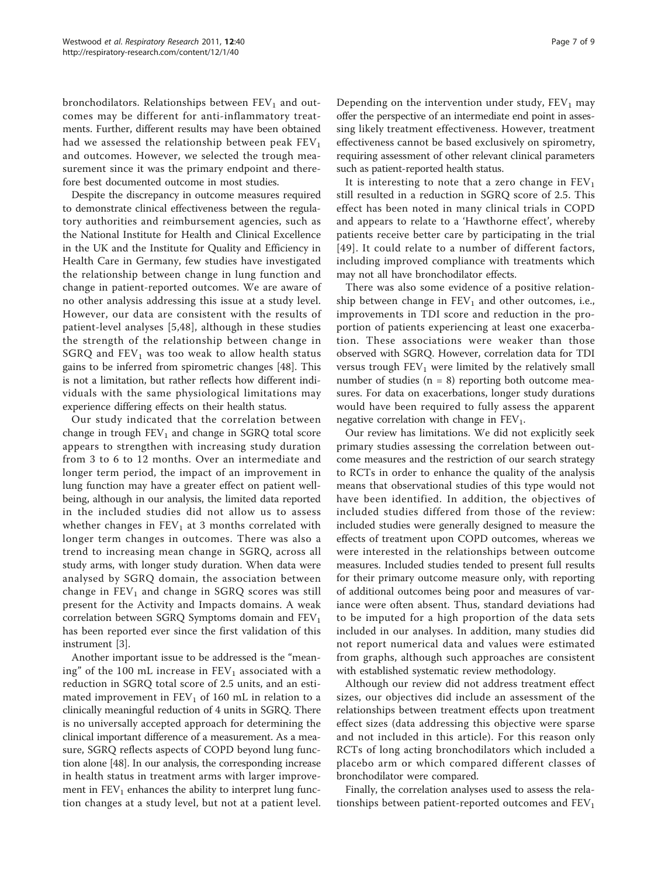bronchodilators. Relationships between  $FEV<sub>1</sub>$  and outcomes may be different for anti-inflammatory treatments. Further, different results may have been obtained had we assessed the relationship between peak  $FEV<sub>1</sub>$ and outcomes. However, we selected the trough measurement since it was the primary endpoint and therefore best documented outcome in most studies.

Despite the discrepancy in outcome measures required to demonstrate clinical effectiveness between the regulatory authorities and reimbursement agencies, such as the National Institute for Health and Clinical Excellence in the UK and the Institute for Quality and Efficiency in Health Care in Germany, few studies have investigated the relationship between change in lung function and change in patient-reported outcomes. We are aware of no other analysis addressing this issue at a study level. However, our data are consistent with the results of patient-level analyses [[5](#page-7-0),[48\]](#page-8-0), although in these studies the strength of the relationship between change in SGRQ and  $FEV<sub>1</sub>$  was too weak to allow health status gains to be inferred from spirometric changes [[48\]](#page-8-0). This is not a limitation, but rather reflects how different individuals with the same physiological limitations may experience differing effects on their health status.

Our study indicated that the correlation between change in trough  $FEV<sub>1</sub>$  and change in SGRQ total score appears to strengthen with increasing study duration from 3 to 6 to 12 months. Over an intermediate and longer term period, the impact of an improvement in lung function may have a greater effect on patient wellbeing, although in our analysis, the limited data reported in the included studies did not allow us to assess whether changes in  $FEV<sub>1</sub>$  at 3 months correlated with longer term changes in outcomes. There was also a trend to increasing mean change in SGRQ, across all study arms, with longer study duration. When data were analysed by SGRQ domain, the association between change in  $FEV<sub>1</sub>$  and change in SGRQ scores was still present for the Activity and Impacts domains. A weak correlation between SGRQ Symptoms domain and  $FEV<sub>1</sub>$ has been reported ever since the first validation of this instrument [[3\]](#page-7-0).

Another important issue to be addressed is the "meaning" of the 100 mL increase in  $FEV<sub>1</sub>$  associated with a reduction in SGRQ total score of 2.5 units, and an estimated improvement in  $FEV<sub>1</sub>$  of 160 mL in relation to a clinically meaningful reduction of 4 units in SGRQ. There is no universally accepted approach for determining the clinical important difference of a measurement. As a measure, SGRQ reflects aspects of COPD beyond lung function alone [\[48](#page-8-0)]. In our analysis, the corresponding increase in health status in treatment arms with larger improvement in  $FEV<sub>1</sub>$  enhances the ability to interpret lung function changes at a study level, but not at a patient level. Page 7 of 9

Depending on the intervention under study,  $FEV<sub>1</sub>$  may offer the perspective of an intermediate end point in assessing likely treatment effectiveness. However, treatment effectiveness cannot be based exclusively on spirometry, requiring assessment of other relevant clinical parameters such as patient-reported health status.

It is interesting to note that a zero change in  $FEV<sub>1</sub>$ still resulted in a reduction in SGRQ score of 2.5. This effect has been noted in many clinical trials in COPD and appears to relate to a 'Hawthorne effect', whereby patients receive better care by participating in the trial [[49\]](#page-8-0). It could relate to a number of different factors, including improved compliance with treatments which may not all have bronchodilator effects.

There was also some evidence of a positive relationship between change in  $FEV_1$  and other outcomes, i.e., improvements in TDI score and reduction in the proportion of patients experiencing at least one exacerbation. These associations were weaker than those observed with SGRQ. However, correlation data for TDI versus trough  $FEV<sub>1</sub>$  were limited by the relatively small number of studies  $(n = 8)$  reporting both outcome measures. For data on exacerbations, longer study durations would have been required to fully assess the apparent negative correlation with change in  $FEV<sub>1</sub>$ .

Our review has limitations. We did not explicitly seek primary studies assessing the correlation between outcome measures and the restriction of our search strategy to RCTs in order to enhance the quality of the analysis means that observational studies of this type would not have been identified. In addition, the objectives of included studies differed from those of the review: included studies were generally designed to measure the effects of treatment upon COPD outcomes, whereas we were interested in the relationships between outcome measures. Included studies tended to present full results for their primary outcome measure only, with reporting of additional outcomes being poor and measures of variance were often absent. Thus, standard deviations had to be imputed for a high proportion of the data sets included in our analyses. In addition, many studies did not report numerical data and values were estimated from graphs, although such approaches are consistent with established systematic review methodology.

Although our review did not address treatment effect sizes, our objectives did include an assessment of the relationships between treatment effects upon treatment effect sizes (data addressing this objective were sparse and not included in this article). For this reason only RCTs of long acting bronchodilators which included a placebo arm or which compared different classes of bronchodilator were compared.

Finally, the correlation analyses used to assess the relationships between patient-reported outcomes and  $FEV<sub>1</sub>$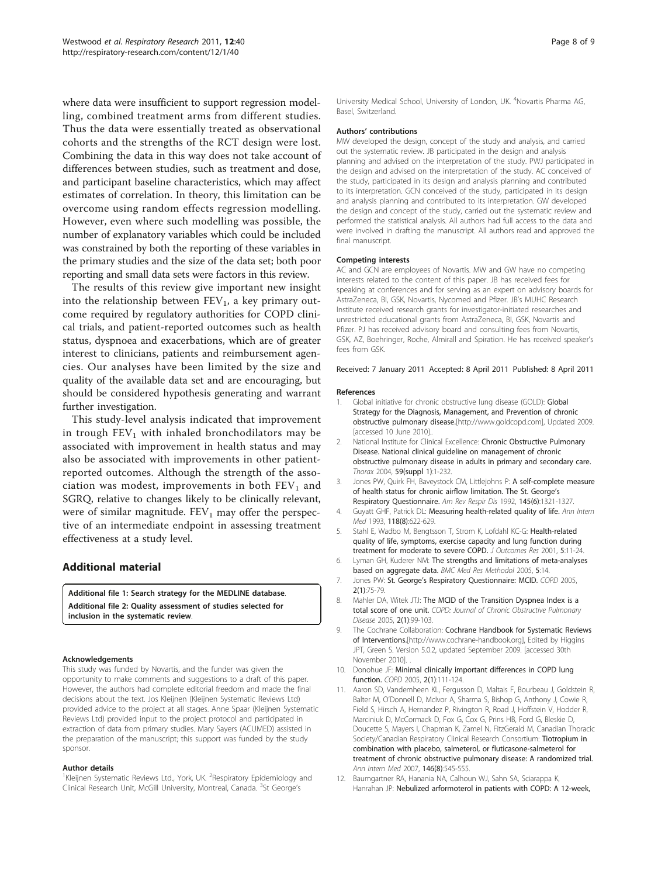<span id="page-7-0"></span>where data were insufficient to support regression modelling, combined treatment arms from different studies. Thus the data were essentially treated as observational cohorts and the strengths of the RCT design were lost. Combining the data in this way does not take account of differences between studies, such as treatment and dose, and participant baseline characteristics, which may affect estimates of correlation. In theory, this limitation can be overcome using random effects regression modelling. However, even where such modelling was possible, the number of explanatory variables which could be included was constrained by both the reporting of these variables in the primary studies and the size of the data set; both poor reporting and small data sets were factors in this review.

The results of this review give important new insight into the relationship between  $FEV_1$ , a key primary outcome required by regulatory authorities for COPD clinical trials, and patient-reported outcomes such as health status, dyspnoea and exacerbations, which are of greater interest to clinicians, patients and reimbursement agencies. Our analyses have been limited by the size and quality of the available data set and are encouraging, but should be considered hypothesis generating and warrant further investigation.

This study-level analysis indicated that improvement in trough  $FEV<sub>1</sub>$  with inhaled bronchodilators may be associated with improvement in health status and may also be associated with improvements in other patientreported outcomes. Although the strength of the association was modest, improvements in both  $FEV<sub>1</sub>$  and SGRQ, relative to changes likely to be clinically relevant, were of similar magnitude.  $FEV<sub>1</sub>$  may offer the perspective of an intermediate endpoint in assessing treatment effectiveness at a study level.

# Additional material

[Additional file 1: S](http://www.biomedcentral.com/content/supplementary/1465-9921-12-40-S1.DOCX)earch strategy for the MEDLINE database. [Additional file 2: Q](http://www.biomedcentral.com/content/supplementary/1465-9921-12-40-S2.DOCX)uality assessment of studies selected for inclusion in the systematic review.

#### Acknowledgements

This study was funded by Novartis, and the funder was given the opportunity to make comments and suggestions to a draft of this paper. However, the authors had complete editorial freedom and made the final decisions about the text. Jos Kleijnen (Kleijnen Systematic Reviews Ltd) provided advice to the project at all stages. Anne Spaar (Kleijnen Systematic Reviews Ltd) provided input to the project protocol and participated in extraction of data from primary studies. Mary Sayers (ACUMED) assisted in the preparation of the manuscript; this support was funded by the study sponsor.

#### Author details

<sup>1</sup>Kleijnen Systematic Reviews Ltd., York, UK. <sup>2</sup>Respiratory Epidemiology and Clinical Research Unit, McGill University, Montreal, Canada. <sup>3</sup>St George's

University Medical School, University of London, UK. <sup>4</sup>Novartis Pharma AG, Basel, Switzerland.

#### Authors' contributions

MW developed the design, concept of the study and analysis, and carried out the systematic review. JB participated in the design and analysis planning and advised on the interpretation of the study. PWJ participated in the design and advised on the interpretation of the study. AC conceived of the study, participated in its design and analysis planning and contributed to its interpretation. GCN conceived of the study, participated in its design and analysis planning and contributed to its interpretation. GW developed the design and concept of the study, carried out the systematic review and performed the statistical analysis. All authors had full access to the data and were involved in drafting the manuscript. All authors read and approved the final manuscript.

#### Competing interests

AC and GCN are employees of Novartis. MW and GW have no competing interests related to the content of this paper. JB has received fees for speaking at conferences and for serving as an expert on advisory boards for AstraZeneca, BI, GSK, Novartis, Nycomed and Pfizer. JB's MUHC Research Institute received research grants for investigator-initiated researches and unrestricted educational grants from AstraZeneca, BI, GSK, Novartis and Pfizer. PJ has received advisory board and consulting fees from Novartis, GSK, AZ, Boehringer, Roche, Almirall and Spiration. He has received speaker's fees from GSK.

#### Received: 7 January 2011 Accepted: 8 April 2011 Published: 8 April 2011

#### References

- 1. Global initiative for chronic obstructive lung disease (GOLD): Global Strategy for the Diagnosis, Management, and Prevention of chronic obstructive pulmonary disease.[<http://www.goldcopd.com>], Updated 2009. [accessed 10 June 2010]..
- 2. National Institute for Clinical Excellence: Chronic Obstructive Pulmonary Disease. National clinical guideline on management of chronic obstructive pulmonary disease in adults in primary and secondary care. Thorax 2004, 59(suppl 1):1-232.
- 3. Jones PW, Quirk FH, Baveystock CM, Littlejohns P: [A self-complete measure](http://www.ncbi.nlm.nih.gov/pubmed/1595997?dopt=Abstract) [of health status for chronic airflow limitation. The St. George](http://www.ncbi.nlm.nih.gov/pubmed/1595997?dopt=Abstract)'s [Respiratory Questionnaire.](http://www.ncbi.nlm.nih.gov/pubmed/1595997?dopt=Abstract) Am Rev Respir Dis 1992, 145(6):1321-1327.
- 4. Guyatt GHF, Patrick DL: [Measuring health-related quality of life.](http://www.ncbi.nlm.nih.gov/pubmed/8452328?dopt=Abstract) Ann Intern Med 1993, 118(8):622-629.
- 5. Stahl E, Wadbo M, Bengtsson T, Strom K, Lofdahl KC-G: Health-related quality of life, symptoms, exercise capacity and lung function during treatment for moderate to severe COPD. J Outcomes Res 2001, 5:11-24.
- 6. Lyman GH, Kuderer NM: [The strengths and limitations of meta-analyses](http://www.ncbi.nlm.nih.gov/pubmed/15850485?dopt=Abstract) [based on aggregate data.](http://www.ncbi.nlm.nih.gov/pubmed/15850485?dopt=Abstract) BMC Med Res Methodol 2005, 5:14.
- 7. Jones PW: St. George'[s Respiratory Questionnaire: MCID.](http://www.ncbi.nlm.nih.gov/pubmed/17136966?dopt=Abstract) COPD 2005, 2(1):75-79.
- 8. Mahler DA, Witek JTJ: The MCID of the Transition Dyspnea Index is a total score of one unit. COPD: Journal of Chronic Obstructive Pulmonary Disease 2005, 2(1):99-103.
- 9. The Cochrane Collaboration: Cochrane Handbook for Systematic Reviews of Interventions.[\[http://www.cochrane-handbook.org\]](http://www.cochrane-handbook.org), Edited by Higgins JPT, Green S. Version 5.0.2, updated September 2009. [accessed 30th November 2010].
- 10. Donohue JF: [Minimal clinically important differences in COPD lung](http://www.ncbi.nlm.nih.gov/pubmed/17136971?dopt=Abstract) [function.](http://www.ncbi.nlm.nih.gov/pubmed/17136971?dopt=Abstract) COPD 2005, 2(1):111-124.
- 11. Aaron SD, Vandemheen KL, Fergusson D, Maltais F, Bourbeau J, Goldstein R, Balter M, O'Donnell D, McIvor A, Sharma S, Bishop G, Anthony J, Cowie R, Field S, Hirsch A, Hernandez P, Rivington R, Road J, Hoffstein V, Hodder R, Marciniuk D, McCormack D, Fox G, Cox G, Prins HB, Ford G, Bleskie D, Doucette S, Mayers I, Chapman K, Zamel N, FitzGerald M, Canadian Thoracic Society/Canadian Respiratory Clinical Research Consortium: [Tiotropium in](http://www.ncbi.nlm.nih.gov/pubmed/17310045?dopt=Abstract) [combination with placebo, salmeterol, or fluticasone-salmeterol for](http://www.ncbi.nlm.nih.gov/pubmed/17310045?dopt=Abstract) [treatment of chronic obstructive pulmonary disease: A randomized trial.](http://www.ncbi.nlm.nih.gov/pubmed/17310045?dopt=Abstract) Ann Intern Med 2007, 146(8):545-555.
- 12. Baumgartner RA, Hanania NA, Calhoun WJ, Sahn SA, Sciarappa K, Hanrahan JP: [Nebulized arformoterol in patients with COPD: A 12-week,](http://www.ncbi.nlm.nih.gov/pubmed/17472819?dopt=Abstract)